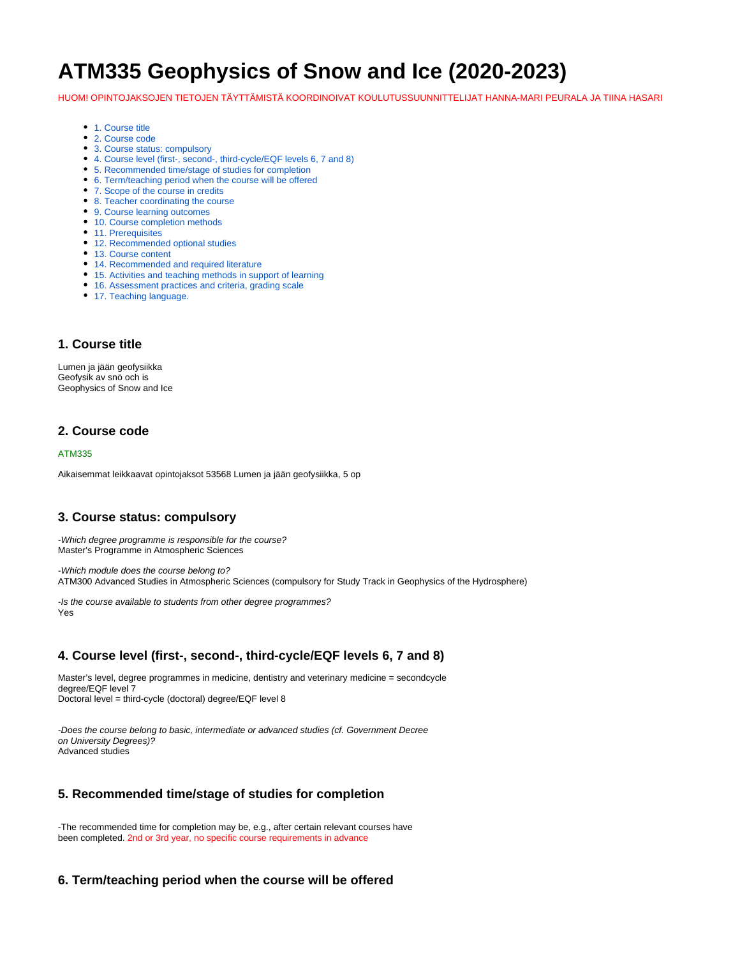# **ATM335 Geophysics of Snow and Ice (2020-2023)**

HUOM! OPINTOJAKSOJEN TIETOJEN TÄYTTÄMISTÄ KOORDINOIVAT KOULUTUSSUUNNITTELIJAT HANNA-MARI PEURALA JA TIINA HASARI

- [1. Course title](#page-0-0)
- [2. Course code](#page-0-1)
- [3. Course status: compulsory](#page-0-2)
- [4. Course level \(first-, second-, third-cycle/EQF levels 6, 7 and 8\)](#page-0-3)
- [5. Recommended time/stage of studies for completion](#page-0-4)
- [6. Term/teaching period when the course will be offered](#page-0-5)
- [7. Scope of the course in credits](#page-1-0)
- [8. Teacher coordinating the course](#page-1-1)
- [9. Course learning outcomes](#page-1-2)
- [10. Course completion methods](#page-1-3)
- [11. Prerequisites](#page-1-4)
- [12. Recommended optional studies](#page-1-5)
- [13. Course content](#page-1-6)
- [14. Recommended and required literature](#page-1-7)
- [15. Activities and teaching methods in support of learning](#page-1-8)
- [16. Assessment practices and criteria, grading scale](#page-1-9) • [17. Teaching language.](#page-2-0)

#### <span id="page-0-0"></span>**1. Course title**

Lumen ja jään geofysiikka Geofysik av snö och is Geophysics of Snow and Ice

#### <span id="page-0-1"></span>**2. Course code**

#### ATM335

Aikaisemmat leikkaavat opintojaksot 53568 Lumen ja jään geofysiikka, 5 op

#### <span id="page-0-2"></span>**3. Course status: compulsory**

-Which degree programme is responsible for the course? Master's Programme in Atmospheric Sciences

-Which module does the course belong to? ATM300 Advanced Studies in Atmospheric Sciences (compulsory for Study Track in Geophysics of the Hydrosphere)

-Is the course available to students from other degree programmes? Yes

## <span id="page-0-3"></span>**4. Course level (first-, second-, third-cycle/EQF levels 6, 7 and 8)**

Master's level, degree programmes in medicine, dentistry and veterinary medicine = secondcycle degree/EQF level 7 Doctoral level = third-cycle (doctoral) degree/EQF level 8

-Does the course belong to basic, intermediate or advanced studies (cf. Government Decree on University Degrees)? Advanced studies

#### <span id="page-0-4"></span>**5. Recommended time/stage of studies for completion**

-The recommended time for completion may be, e.g., after certain relevant courses have been completed. 2nd or 3rd year, no specific course requirements in advance

#### <span id="page-0-5"></span>**6. Term/teaching period when the course will be offered**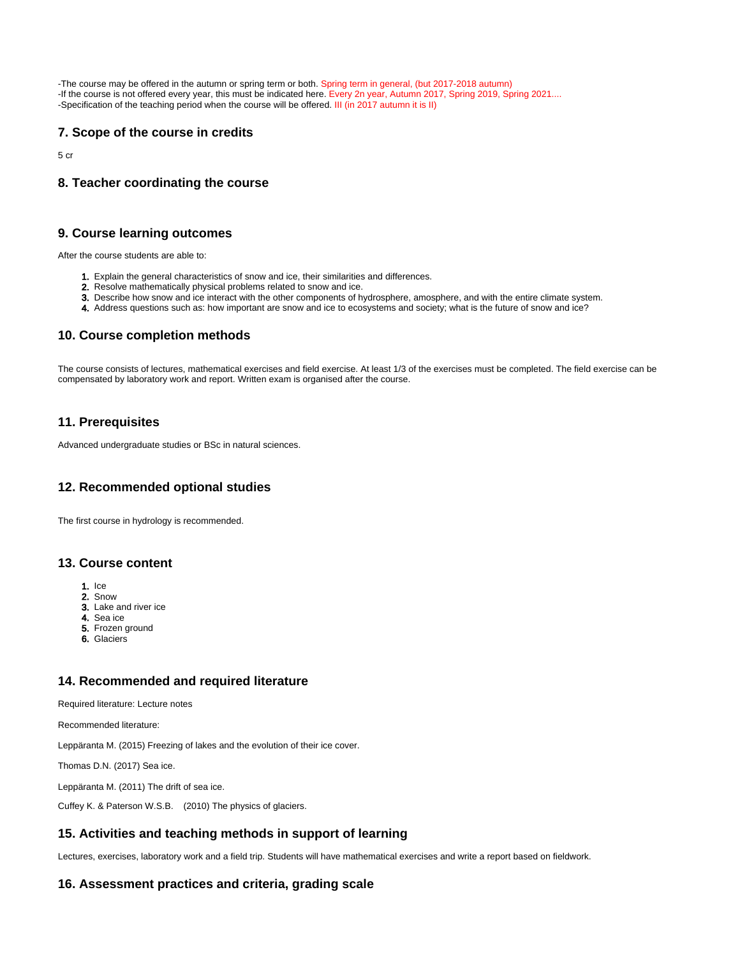-The course may be offered in the autumn or spring term or both. Spring term in general, (but 2017-2018 autumn) -If the course is not offered every year, this must be indicated here. Every 2n year, Autumn 2017, Spring 2019, Spring 2021.... -Specification of the teaching period when the course will be offered. III (in 2017 autumn it is II)

## <span id="page-1-0"></span>**7. Scope of the course in credits**

5 cr

### <span id="page-1-1"></span>**8. Teacher coordinating the course**

#### <span id="page-1-2"></span>**9. Course learning outcomes**

After the course students are able to:

- 1. Explain the general characteristics of snow and ice, their similarities and differences.
- 2. Resolve mathematically physical problems related to snow and ice.
- 3. Describe how snow and ice interact with the other components of hydrosphere, amosphere, and with the entire climate system.
- 4. Address questions such as: how important are snow and ice to ecosystems and society; what is the future of snow and ice?

#### <span id="page-1-3"></span>**10. Course completion methods**

The course consists of lectures, mathematical exercises and field exercise. At least 1/3 of the exercises must be completed. The field exercise can be compensated by laboratory work and report. Written exam is organised after the course.

#### <span id="page-1-4"></span>**11. Prerequisites**

Advanced undergraduate studies or BSc in natural sciences.

#### <span id="page-1-5"></span>**12. Recommended optional studies**

The first course in hydrology is recommended.

#### <span id="page-1-6"></span>**13. Course content**

- 1. Ice
- 2. Snow
- 3. Lake and river ice
- 4. Sea ice
- 5. Frozen ground
- 6. Glaciers

#### <span id="page-1-7"></span>**14. Recommended and required literature**

Required literature: Lecture notes

Recommended literature:

Leppäranta M. (2015) Freezing of lakes and the evolution of their ice cover.

Thomas D.N. (2017) Sea ice.

Leppäranta M. (2011) The drift of sea ice.

Cuffey K. & Paterson W.S.B. (2010) The physics of glaciers.

#### <span id="page-1-8"></span>**15. Activities and teaching methods in support of learning**

Lectures, exercises, laboratory work and a field trip. Students will have mathematical exercises and write a report based on fieldwork.

#### <span id="page-1-9"></span>**16. Assessment practices and criteria, grading scale**